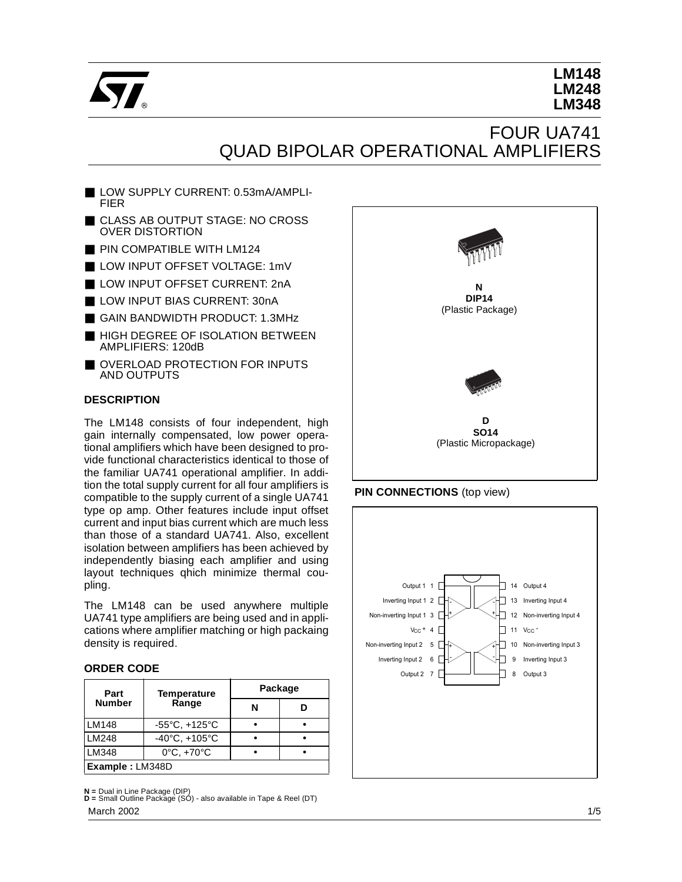

# **LM148 LM248 LM348**

# FOUR UA741 QUAD BIPOLAR OPERATIONAL AMPLIFIERS

- LOW SUPPLY CURRENT: 0.53mA/AMPLI-FIER
- CLASS AB OUTPUT STAGE: NO CROSS OVER DISTORTION
- PIN COMPATIBLE WITH LM124
- LOW INPUT OFFSET VOLTAGE: 1mV
- LOW INPUT OFFSET CURRENT: 2nA
- LOW INPUT BIAS CURRENT: 30nA
- GAIN BANDWIDTH PRODUCT: 1.3MHz
- HIGH DEGREE OF ISOLATION BETWEEN AMPLIFIERS: 120dB
- OVERLOAD PROTECTION FOR INPUTS AND OUTPUTS

### **DESCRIPTION**

The LM148 consists of four independent, high gain internally compensated, low power operational amplifiers which have been designed to provide functional characteristics identical to those of the familiar UA741 operational amplifier. In addition the total supply current for all four amplifiers is compatible to the supply current of a single UA741 type op amp. Other features include input offset current and input bias current which are much less than those of a standard UA741. Also, excellent isolation between amplifiers has been achieved by independently biasing each amplifier and using layout techniques qhich minimize thermal coupling.

The LM148 can be used anywhere multiple UA741 type amplifiers are being used and in applications where amplifier matching or high packaing density is required.

#### **ORDER CODE**

| Part            | <b>Temperature</b>                | Package |  |  |  |
|-----------------|-----------------------------------|---------|--|--|--|
| <b>Number</b>   | Range                             | N       |  |  |  |
| <b>LM148</b>    | $-55^{\circ}$ C, $+125^{\circ}$ C |         |  |  |  |
| LM248           | $-40^{\circ}$ C, $+105^{\circ}$ C |         |  |  |  |
| LM348           | $0^{\circ}$ C, $+70^{\circ}$ C    |         |  |  |  |
| Example: LM348D |                                   |         |  |  |  |

**N =** Dual in Line Package (DIP) **D =** Small Outline Package (SO) - also available in Tape & Reel (DT) March 2002



#### **PIN CONNECTIONS** (top view)

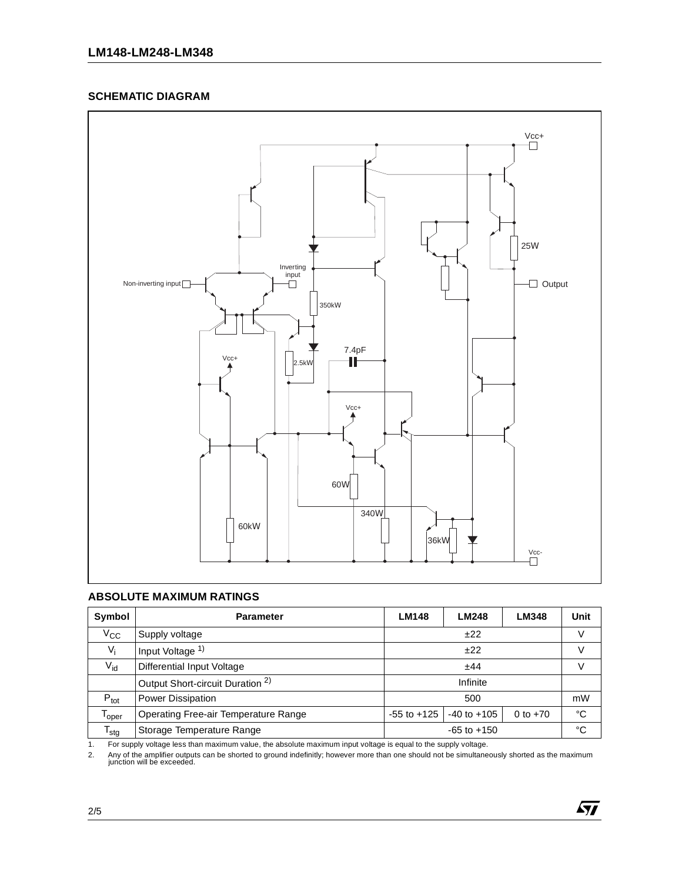#### **SCHEMATIC DIAGRAM**



### **ABSOLUTE MAXIMUM RATINGS**

| Symbol           | <b>Parameter</b>                                        | <b>LM148</b>    | <b>LM248</b>    | LM348      | Unit |
|------------------|---------------------------------------------------------|-----------------|-----------------|------------|------|
| $V_{\rm CC}$     | ±22<br>Supply voltage                                   |                 |                 |            |      |
| $V_i$            | Input Voltage 1)                                        |                 |                 |            |      |
| $V_{id}$         | Differential Input Voltage                              | ±44             |                 |            |      |
|                  | Infinite<br>Output Short-circuit Duration <sup>2)</sup> |                 |                 |            |      |
| $P_{\text{tot}}$ | <b>Power Dissipation</b>                                | 500             |                 |            | mW   |
| $T_{\rm oper}$   | Operating Free-air Temperature Range                    | $-55$ to $+125$ | $-40$ to $+105$ | 0 to $+70$ | °C   |
| $T_{\text{stg}}$ | Storage Temperature Range                               | $-65$ to $+150$ |                 |            | °C   |

1. For supply voltage less than maximum value, the absolute maximum input voltage is equal to the supply voltage.

2. Any of the amplifier outputs can be shorted to ground indefinitly; however more than one should not be simultaneously shorted as the maximum junction will be exceeded.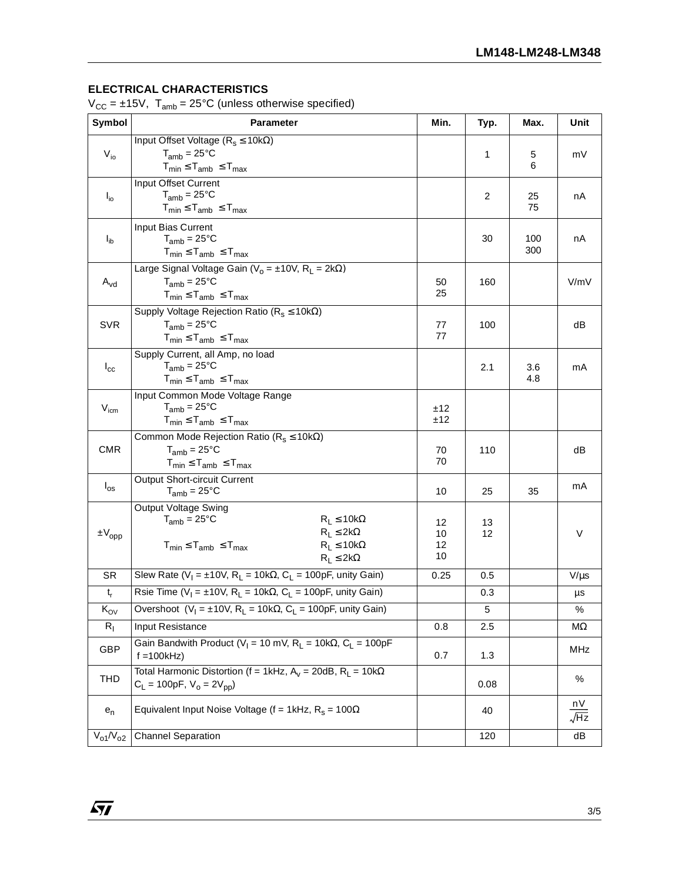## **ELECTRICAL CHARACTERISTICS**

 $V_{CC} = \pm 15V$ ,  $T_{amb} = 25^{\circ}C$  (unless otherwise specified)

| Symbol            | <b>Parameter</b>                                                                                      | Min.     | Typ.           | Max.       | Unit          |
|-------------------|-------------------------------------------------------------------------------------------------------|----------|----------------|------------|---------------|
|                   | Input Offset Voltage ( $R_s \le 10k\Omega$ )                                                          |          |                |            |               |
| $V_{io}$          | $T_{amb} = 25^{\circ}C$                                                                               |          | 1              | 5          | mV            |
|                   | $T_{min} \leq T_{amb} \leq T_{max}$                                                                   |          |                | 6          |               |
|                   | Input Offset Current                                                                                  |          |                |            |               |
| $I_{io}$          | $T_{amb} = 25^{\circ}C$                                                                               |          | $\overline{c}$ | 25         | nA            |
|                   | $T_{min} \leq T_{amb} \leq T_{max}$                                                                   |          |                | 75         |               |
|                   | Input Bias Current                                                                                    |          |                |            |               |
| $I_{ib}$          | $T_{amb} = 25^{\circ}C$<br>$T_{min} \leq T_{amb} \leq T_{max}$                                        |          | 30             | 100<br>300 | nA            |
|                   | Large Signal Voltage Gain ( $V_0 = \pm 10V$ , R <sub>L</sub> = 2k $\Omega$ )                          |          |                |            |               |
| $A_{\rm vd}$      | $T_{amb} = 25^{\circ}C$                                                                               | 50       | 160            |            | V/mV          |
|                   | $T_{min} \leq T_{amb} \leq T_{max}$                                                                   | 25       |                |            |               |
|                   | Supply Voltage Rejection Ratio ( $R_s \le 10k\Omega$ )                                                |          |                |            |               |
| <b>SVR</b>        | $T_{amb} = 25^{\circ}C$                                                                               | 77       | 100            |            | dB            |
|                   | $T_{min} \leq T_{amb} \leq T_{max}$                                                                   | 77       |                |            |               |
|                   | Supply Current, all Amp, no load                                                                      |          |                |            |               |
| $I_{\rm cc}$      | $T_{amb}$ = 25°C                                                                                      |          | 2.1            | 3.6        | mA            |
|                   | $T_{min} \leq T_{amb} \leq T_{max}$                                                                   |          |                | 4.8        |               |
|                   | Input Common Mode Voltage Range                                                                       |          |                |            |               |
| $V_{icm}$         | $T_{amb} = 25^{\circ}C$                                                                               | ±12      |                |            |               |
|                   | $T_{min} \leq T_{amb} \leq T_{max}$                                                                   | ±12      |                |            |               |
|                   | Common Mode Rejection Ratio ( $R_s \le 10k\Omega$ )                                                   |          |                |            |               |
| <b>CMR</b>        | $T_{amb} = 25^{\circ}C$                                                                               | 70<br>70 | 110            |            | dB            |
|                   | $T_{min} \leq T_{amb} \leq T_{max}$                                                                   |          |                |            |               |
| $I_{\rm os}$      | <b>Output Short-circuit Current</b><br>$T_{amb} = 25^{\circ}C$                                        | 10       | 25             | 35         | mA            |
|                   |                                                                                                       |          |                |            |               |
|                   | Output Voltage Swing<br>$R_L \le 10k\Omega$<br>$T_{amb} = 25^{\circ}C$                                |          |                |            |               |
| $\pm \rm V_{opp}$ | $R_L \leq 2k\Omega$                                                                                   | 12<br>10 | 13<br>12       |            | V             |
|                   | $R_L \leq 10k\Omega$<br>$T_{min} \leq T_{amb} \leq T_{max}$                                           | 12       |                |            |               |
|                   | $R_L \leq 2k\Omega$                                                                                   | 10       |                |            |               |
| <b>SR</b>         | Slew Rate (V <sub>I</sub> = ±10V, R <sub>L</sub> = 10k $\Omega$ , C <sub>L</sub> = 100pF, unity Gain) | 0.25     | 0.5            |            | $V/\mu s$     |
| $t_r$             | Rsie Time (V <sub>I</sub> = ±10V, R <sub>L</sub> = 10k $\Omega$ , C <sub>L</sub> = 100pF, unity Gain) |          | 0.3            |            | $\mu\text{s}$ |
| $K_{\text{OV}}$   | Overshoot ( $V_1 = \pm 10V$ , $R_L = 10k\Omega$ , $C_L = 100pF$ , unity Gain)                         |          | 5              |            | $\%$          |
| $R_{I}$           | Input Resistance                                                                                      | 0.8      | 2.5            |            | ΜΩ            |
| <b>GBP</b>        | Gain Bandwith Product ( $V_1 = 10$ mV, R <sub>1</sub> = 10k $\Omega$ , C <sub>1</sub> = 100pF         |          |                |            | MHz           |
|                   | $f = 100kHz$                                                                                          | 0.7      | 1.3            |            |               |
| THD               | Total Harmonic Distortion (f = 1kHz, $A_v = 20dB$ , $R_1 = 10k\Omega$                                 |          |                |            | %             |
|                   | $C_L = 100pF$ , $V_o = 2V_{pp}$                                                                       |          | 0.08           |            |               |
| $e_n$             | Equivalent Input Noise Voltage (f = 1kHz, $R_s$ = 100 $\Omega$                                        |          | 40             |            | nV            |
|                   |                                                                                                       |          |                |            | $\sqrt{Hz}$   |
| $V_{o1} / V_{o2}$ | <b>Channel Separation</b>                                                                             |          | 120            |            | dB            |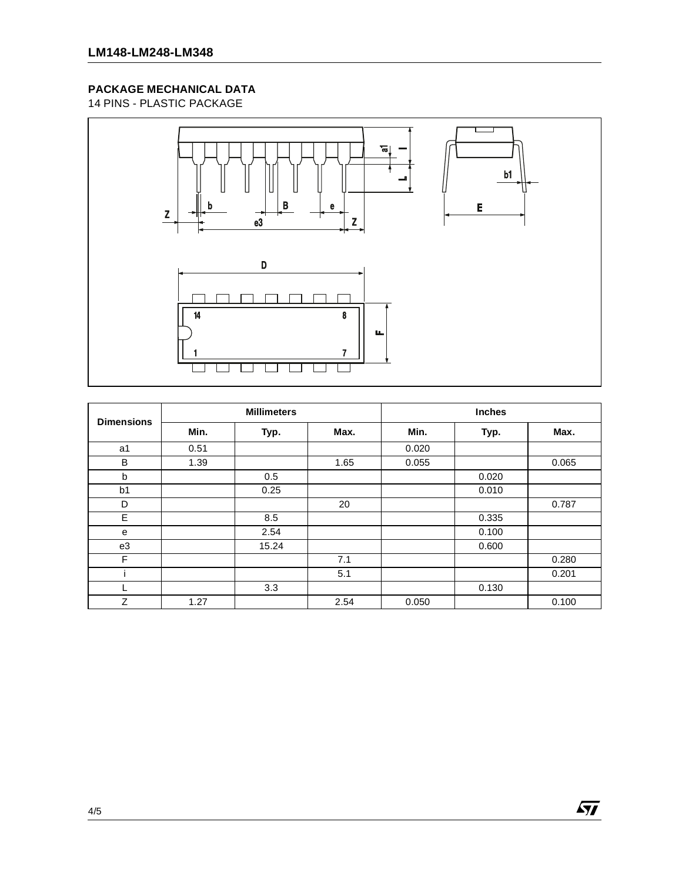## **PACKAGE MECHANICAL DATA**

14 PINS - PLASTIC PACKAGE



| <b>Dimensions</b> | <b>Millimeters</b> |       |      | <b>Inches</b> |       |       |  |
|-------------------|--------------------|-------|------|---------------|-------|-------|--|
|                   | Min.               | Typ.  | Max. | Min.          | Typ.  | Max.  |  |
| a1                | 0.51               |       |      | 0.020         |       |       |  |
| B                 | 1.39               |       | 1.65 | 0.055         |       | 0.065 |  |
| b                 |                    | 0.5   |      |               | 0.020 |       |  |
| b <sub>1</sub>    |                    | 0.25  |      |               | 0.010 |       |  |
| D                 |                    |       | 20   |               |       | 0.787 |  |
| E                 |                    | 8.5   |      |               | 0.335 |       |  |
| e                 |                    | 2.54  |      |               | 0.100 |       |  |
| e3                |                    | 15.24 |      |               | 0.600 |       |  |
| F                 |                    |       | 7.1  |               |       | 0.280 |  |
|                   |                    |       | 5.1  |               |       | 0.201 |  |
|                   |                    | 3.3   |      |               | 0.130 |       |  |
| Z                 | 1.27               |       | 2.54 | 0.050         |       | 0.100 |  |